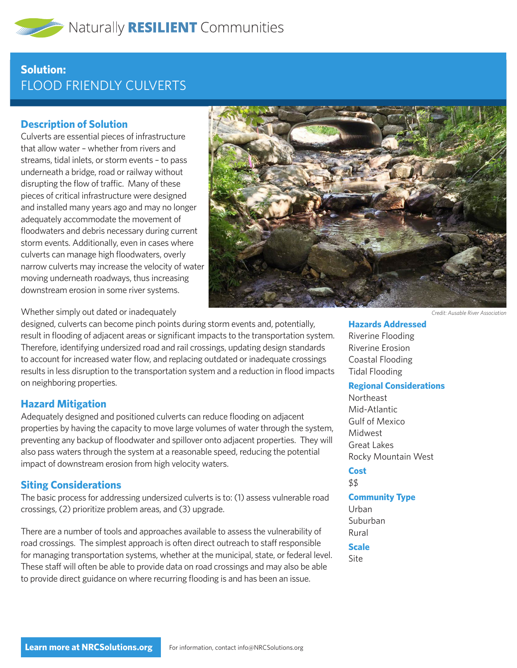# **Solution:**  FLOOD FRIENDLY CULVERTS

### **Description of Solution**

Culverts are essential pieces of infrastructure that allow water – whether from rivers and streams, tidal inlets, or storm events – to pass underneath a bridge, road or railway without disrupting the flow of traffic. Many of these pieces of critical infrastructure were designed and installed many years ago and may no longer adequately accommodate the movement of floodwaters and debris necessary during current storm events. Additionally, even in cases where culverts can manage high floodwaters, overly narrow culverts may increase the velocity of water moving underneath roadways, thus increasing downstream erosion in some river systems.



Whether simply out dated or inadequately

designed, culverts can become pinch points during storm events and, potentially, result in flooding of adjacent areas or significant impacts to the transportation system. Therefore, identifying undersized road and rail crossings, updating design standards to account for increased water flow, and replacing outdated or inadequate crossings results in less disruption to the transportation system and a reduction in flood impacts on neighboring properties.

### **Hazard Mitigation**

Adequately designed and positioned culverts can reduce flooding on adjacent properties by having the capacity to move large volumes of water through the system, preventing any backup of floodwater and spillover onto adjacent properties. They will also pass waters through the system at a reasonable speed, reducing the potential impact of downstream erosion from high velocity waters.

### **Siting Considerations**

The basic process for addressing undersized culverts is to: (1) assess vulnerable road crossings, (2) prioritize problem areas, and (3) upgrade.

There are a number of tools and approaches available to assess the vulnerability of road crossings. The simplest approach is often direct outreach to staff responsible for managing transportation systems, whether at the municipal, state, or federal level. These staff will often be able to provide data on road crossings and may also be able to provide direct guidance on where recurring flooding is and has been an issue.

*Credit: Ausable River Association*

**Hazards Addressed**

Riverine Flooding Riverine Erosion Coastal Flooding Tidal Flooding

#### **Regional Considerations**

Northeast Mid-Atlantic Gulf of Mexico Midwest Great Lakes Rocky Mountain West

## **Cost**

\$\$

#### **Community Type**

Urban Suburban Rural

**Scale**

Site